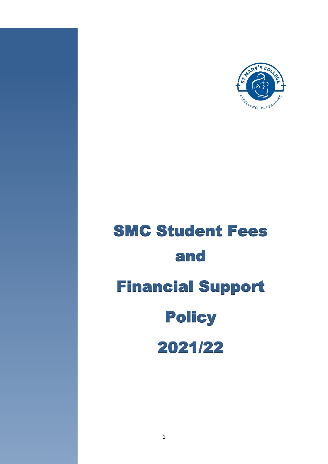

# SMC Student Fees and Financial Support **Policy** 2021/22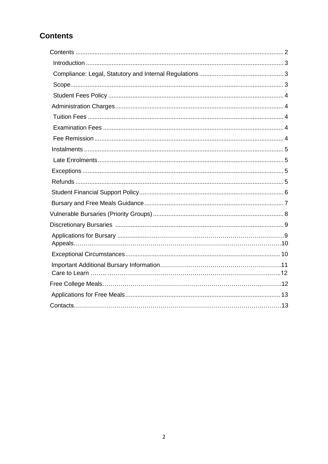## **Contents**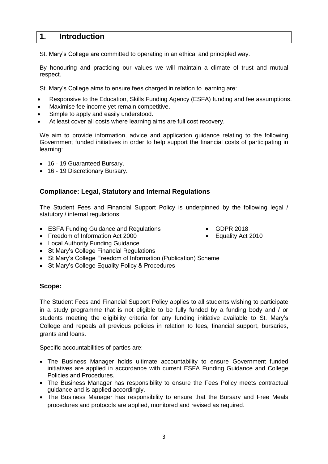## <span id="page-2-0"></span>**1. Introduction**

St. Mary's College are committed to operating in an ethical and principled way.

By honouring and practicing our values we will maintain a climate of trust and mutual respect.

St. Mary's College aims to ensure fees charged in relation to learning are:

- Responsive to the Education, Skills Funding Agency (ESFA) funding and fee assumptions.
- Maximise fee income yet remain competitive.
- Simple to apply and easily understood.
- At least cover all costs where learning aims are full cost recovery.

We aim to provide information, advice and application guidance relating to the following Government funded initiatives in order to help support the financial costs of participating in learning:

- 16 19 Guaranteed Bursary.
- <span id="page-2-1"></span>• 16 - 19 Discretionary Bursary.

#### **Compliance: Legal, Statutory and Internal Regulations**

The Student Fees and Financial Support Policy is underpinned by the following legal / statutory / internal regulations:

- ESFA Funding Guidance and Regulations GDPR 2018
- Freedom of Information Act 2000 Equality Act 2010
- Local Authority Funding Guidance
- St Mary's College Financial Regulations
- St Mary's College Freedom of Information (Publication) Scheme
- <span id="page-2-2"></span>• St Mary's College Equality Policy & Procedures

#### **Scope:**

The Student Fees and Financial Support Policy applies to all students wishing to participate in a study programme that is not eligible to be fully funded by a funding body and / or students meeting the eligibility criteria for any funding initiative available to St. Mary's College and repeals all previous policies in relation to fees, financial support, bursaries, grants and loans.

Specific accountabilities of parties are:

- The Business Manager holds ultimate accountability to ensure Government funded initiatives are applied in accordance with current ESFA Funding Guidance and College Policies and Procedures.
- The Business Manager has responsibility to ensure the Fees Policy meets contractual guidance and is applied accordingly.
- The Business Manager has responsibility to ensure that the Bursary and Free Meals procedures and protocols are applied, monitored and revised as required.

3

- 
-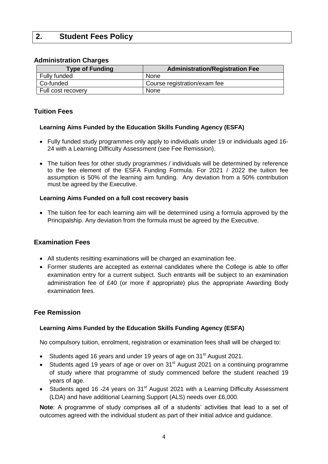## <span id="page-3-1"></span><span id="page-3-0"></span>**2. Student Fees Policy**

#### **Administration Charges**

| <b>Type of Funding</b> | Administration/Registration Fee |  |
|------------------------|---------------------------------|--|
| Fully funded           | None                            |  |
| Co-funded              | Course registration/exam fee    |  |
| Full cost recovery     | None                            |  |

#### <span id="page-3-2"></span>**Tuition Fees**

#### **Learning Aims Funded by the Education Skills Funding Agency (ESFA)**

- Fully funded study programmes only apply to individuals under 19 or individuals aged 16- 24 with a Learning Difficulty Assessment (see Fee Remission).
- The tuition fees for other study programmes / individuals will be determined by reference to the fee element of the ESFA Funding Formula. For 2021 / 2022 the tuition fee assumption is 50% of the learning aim funding. Any deviation from a 50% contribution must be agreed by the Executive.

#### **Learning Aims Funded on a full cost recovery basis**

 The tuition fee for each learning aim will be determined using a formula approved by the Principalship. Any deviation from the formula must be agreed by the Executive.

#### <span id="page-3-3"></span>**Examination Fees**

- All students resitting examinations will be charged an examination fee.
- Former students are accepted as external candidates where the College is able to offer examination entry for a current subject. Such entrants will be subject to an examination administration fee of £40 (or more if appropriate) plus the appropriate Awarding Body examination fees.

#### <span id="page-3-4"></span>**Fee Remission**

#### **Learning Aims Funded by the Education Skills Funding Agency (ESFA)**

No compulsory tuition, enrolment, registration or examination fees shall will be charged to:

- Students aged 16 years and under 19 years of age on 31<sup>st</sup> August 2021.
- Students aged 19 years of age or over on  $31<sup>st</sup>$  August 2021 on a continuing programme of study where that programme of study commenced before the student reached 19 years of age.
- Students aged 16 -24 years on 31<sup>st</sup> August 2021 with a Learning Difficulty Assessment (LDA) and have additional Learning Support (ALS) needs over £6,000.

**Note**: A programme of study comprises all of a students' activities that lead to a set of outcomes agreed with the individual student as part of their initial advice and guidance.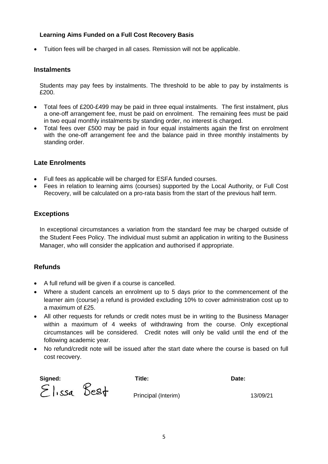#### **Learning Aims Funded on a Full Cost Recovery Basis**

<span id="page-4-0"></span>Tuition fees will be charged in all cases. Remission will not be applicable.

#### **Instalments**

Students may pay fees by instalments. The threshold to be able to pay by instalments is £200.

- Total fees of £200-£499 may be paid in three equal instalments. The first instalment, plus a one-off arrangement fee, must be paid on enrolment. The remaining fees must be paid in two equal monthly instalments by standing order, no interest is charged.
- Total fees over £500 may be paid in four equal instalments again the first on enrolment with the one-off arrangement fee and the balance paid in three monthly instalments by standing order.

#### <span id="page-4-1"></span>**Late Enrolments**

- Full fees as applicable will be charged for ESFA funded courses.
- <span id="page-4-2"></span> Fees in relation to learning aims (courses) supported by the Local Authority, or Full Cost Recovery, will be calculated on a pro-rata basis from the start of the previous half term.

#### **Exceptions**

In exceptional circumstances a variation from the standard fee may be charged outside of the Student Fees Policy. The individual must submit an application in writing to the Business Manager, who will consider the application and authorised if appropriate.

#### <span id="page-4-3"></span>**Refunds**

- A full refund will be given if a course is cancelled.
- Where a student cancels an enrolment up to 5 days prior to the commencement of the learner aim (course) a refund is provided excluding 10% to cover administration cost up to a maximum of £25.
- All other requests for refunds or credit notes must be in writing to the Business Manager within a maximum of 4 weeks of withdrawing from the course. Only exceptional circumstances will be considered. Credit notes will only be valid until the end of the following academic year.
- No refund/credit note will be issued after the start date where the course is based on full cost recovery.

| Signed:     | Title:              | Date:    |
|-------------|---------------------|----------|
| Elissa Best | Principal (Interim) | 13/09/21 |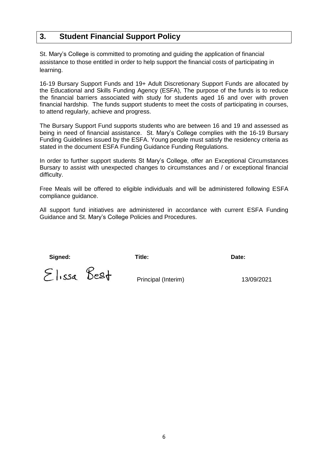## <span id="page-5-0"></span>**3. Student Financial Support Policy**

St. Mary's College is committed to promoting and guiding the application of financial assistance to those entitled in order to help support the financial costs of participating in learning.

16-19 Bursary Support Funds and 19+ Adult Discretionary Support Funds are allocated by the Educational and Skills Funding Agency (ESFA), The purpose of the funds is to reduce the financial barriers associated with study for students aged 16 and over with proven financial hardship. The funds support students to meet the costs of participating in courses, to attend regularly, achieve and progress.

The Bursary Support Fund supports students who are between 16 and 19 and assessed as being in need of financial assistance. St. Mary's College complies with the 16-19 Bursary Funding Guidelines issued by the ESFA. Young people must satisfy the residency criteria as stated in the document ESFA Funding Guidance Funding Regulations.

In order to further support students St Mary's College, offer an Exceptional Circumstances Bursary to assist with unexpected changes to circumstances and / or exceptional financial difficulty.

Free Meals will be offered to eligible individuals and will be administered following ESFA compliance guidance.

All support fund initiatives are administered in accordance with current ESFA Funding Guidance and St. Mary's College Policies and Procedures.

 **Signed: Title: Date:**

 $\Sigma$   $\overline{\phantom{1}}$   $\overline{\phantom{1}}$   $\overline{\phantom{1}}$   $\overline{\phantom{1}}$   $\overline{\phantom{1}}$   $\overline{\phantom{1}}$   $\overline{\phantom{1}}$   $\overline{\phantom{1}}$   $\overline{\phantom{1}}$   $\overline{\phantom{1}}$   $\overline{\phantom{1}}$   $\overline{\phantom{1}}$   $\overline{\phantom{1}}$   $\overline{\phantom{1}}$   $\overline{\phantom{1}}$   $\overline{\phantom{1}}$   $\overline{\phantom{1}}$   $\overline{\phantom{1}}$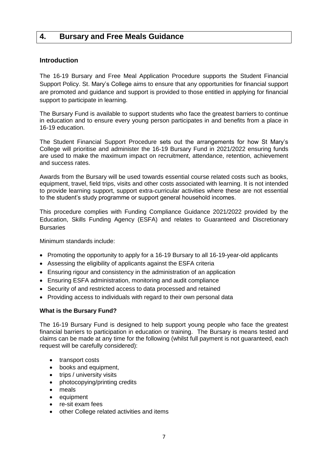## <span id="page-6-1"></span><span id="page-6-0"></span>**4. Bursary and Free Meals Guidance**

#### **Introduction**

The 16-19 Bursary and Free Meal Application Procedure supports the Student Financial Support Policy. St. Mary's College aims to ensure that any opportunities for financial support are promoted and guidance and support is provided to those entitled in applying for financial support to participate in learning.

The Bursary Fund is available to support students who face the greatest barriers to continue in education and to ensure every young person participates in and benefits from a place in 16-19 education.

The Student Financial Support Procedure sets out the arrangements for how St Mary's College will prioritise and administer the 16-19 Bursary Fund in 2021/2022 ensuring funds are used to make the maximum impact on recruitment, attendance, retention, achievement and success rates.

Awards from the Bursary will be used towards essential course related costs such as books, equipment, travel, field trips, visits and other costs associated with learning. It is not intended to provide learning support, support extra-curricular activities where these are not essential to the student's study programme or support general household incomes.

This procedure complies with Funding Compliance Guidance 2021/2022 provided by the Education, Skills Funding Agency (ESFA) and relates to Guaranteed and Discretionary **Bursaries** 

Minimum standards include:

- Promoting the opportunity to apply for a 16-19 Bursary to all 16-19-year-old applicants
- Assessing the eligibility of applicants against the ESFA criteria
- Ensuring rigour and consistency in the administration of an application
- Ensuring ESFA administration, monitoring and audit compliance
- Security of and restricted access to data processed and retained
- Providing access to individuals with regard to their own personal data

#### <span id="page-6-2"></span>**What is the Bursary Fund?**

The 16-19 Bursary Fund is designed to help support young people who face the greatest financial barriers to participation in education or training. The Bursary is means tested and claims can be made at any time for the following (whilst full payment is not guaranteed, each request will be carefully considered):

- transport costs
- books and equipment,
- trips / university visits
- photocopying/printing credits
- meals
- equipment
- re-sit exam fees
- other College related activities and items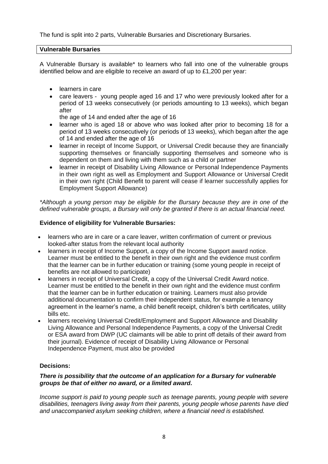The fund is split into 2 parts, Vulnerable Bursaries and Discretionary Bursaries.

#### **Vulnerable Bursaries**

A Vulnerable Bursary is available\* to learners who fall into one of the vulnerable groups identified below and are eligible to receive an award of up to £1,200 per year:

- **e** learners in care
- care leavers young people aged 16 and 17 who were previously looked after for a period of 13 weeks consecutively (or periods amounting to 13 weeks), which began after

the age of 14 and ended after the age of 16

- learner who is aged 18 or above who was looked after prior to becoming 18 for a period of 13 weeks consecutively (or periods of 13 weeks), which began after the age of 14 and ended after the age of 16
- learner in receipt of Income Support, or Universal Credit because they are financially supporting themselves or financially supporting themselves and someone who is dependent on them and living with them such as a child or partner
- learner in receipt of Disability Living Allowance or Personal Independence Payments in their own right as well as Employment and Support Allowance or Universal Credit in their own right (Child Benefit to parent will cease if learner successfully applies for Employment Support Allowance)

*\*Although a young person may be eligible for the Bursary because they are in one of the defined vulnerable groups, a Bursary will only be granted if there is an actual financial need.* 

#### **Evidence of eligibility for Vulnerable Bursaries:**

- learners who are in care or a care leaver, written confirmation of current or previous looked-after status from the relevant local authority
- learners in receipt of Income Support, a copy of the Income Support award notice. Learner must be entitled to the benefit in their own right and the evidence must confirm that the learner can be in further education or training (some young people in receipt of benefits are not allowed to participate)
- learners in receipt of Universal Credit, a copy of the Universal Credit Award notice. Learner must be entitled to the benefit in their own right and the evidence must confirm that the learner can be in further education or training. Learners must also provide additional documentation to confirm their independent status, for example a tenancy agreement in the learner's name, a child benefit receipt, children's birth certificates, utility bills etc.
- learners receiving Universal Credit/Employment and Support Allowance and Disability Living Allowance and Personal Independence Payments, a copy of the Universal Credit or ESA award from DWP (UC claimants will be able to print off details of their award from their journal). Evidence of receipt of Disability Living Allowance or Personal Independence Payment, must also be provided

#### **Decisions:**

#### *There is possibility that the outcome of an application for a Bursary for vulnerable groups be that of either no award, or a limited award.*

*Income support is paid to young people such as teenage parents, young people with severe disabilities, teenagers living away from their parents, young people whose parents have died and unaccompanied asylum seeking children, where a financial need is established.*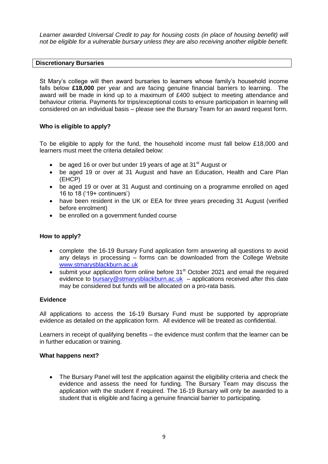*Learner awarded Universal Credit to pay for housing costs (in place of housing benefit) will not be eligible for a vulnerable bursary unless they are also receiving another eligible benefit.*

#### **Discretionary Bursaries**

St Mary's college will then award bursaries to learners whose family's household income falls below **£18,000** per year and are facing genuine financial barriers to learning. The award will be made in kind up to a maximum of £400 subject to meeting attendance and behaviour criteria. Payments for trips/exceptional costs to ensure participation in learning will considered on an individual basis – please see the Bursary Team for an award request form.

#### **Who is eligible to apply?**

To be eligible to apply for the fund, the household income must fall below £18,000 and learners must meet the criteria detailed below:

- $\bullet$  be aged 16 or over but under 19 years of age at 31<sup>st</sup> August or
- be aged 19 or over at 31 August and have an Education, Health and Care Plan (EHCP)
- be aged 19 or over at 31 August and continuing on a programme enrolled on aged 16 to 18 ('19+ continuers')
- have been resident in the UK or EEA for three years preceding 31 August (verified before enrolment)
- be enrolled on a government funded course

#### **How to apply?**

- complete the 16-19 Bursary Fund application form answering all questions to avoid any delays in processing – forms can be downloaded from the College Website [www.stmarysblackburn.ac.uk](http://www.stmarysblackburn.ac.uk/)
- $\bullet$  submit your application form online before 31<sup>st</sup> October 2021 and email the required evidence to [bursary@stmarysblackburn.ac.uk](mailto:bursary@stmarysblackburn.ac.uk) – applications received after this date may be considered but funds will be allocated on a pro-rata basis.

#### **Evidence**

All applications to access the 16-19 Bursary Fund must be supported by appropriate evidence as detailed on the application form. All evidence will be treated as confidential.

Learners in receipt of qualifying benefits – the evidence must confirm that the learner can be in further education or training.

#### **What happens next?**

 The Bursary Panel will test the application against the eligibility criteria and check the evidence and assess the need for funding. The Bursary Team may discuss the application with the student if required. The 16-19 Bursary will only be awarded to a student that is eligible and facing a genuine financial barrier to participating.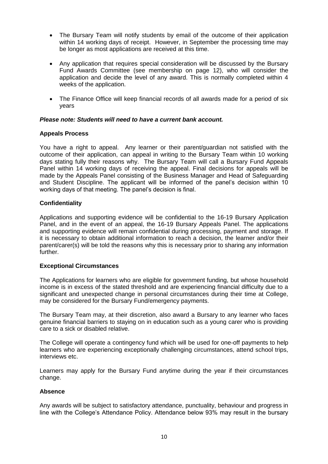- The Bursary Team will notify students by email of the outcome of their application within 14 working days of receipt. However, in September the processing time may be longer as most applications are received at this time.
- Any application that requires special consideration will be discussed by the Bursary Fund Awards Committee (see membership on page 12), who will consider the application and decide the level of any award. This is normally completed within 4 weeks of the application.
- The Finance Office will keep financial records of all awards made for a period of six years

#### *Please note: Students will need to have a current bank account.*

#### **Appeals Process**

You have a right to appeal. Any learner or their parent/guardian not satisfied with the outcome of their application, can appeal in writing to the Bursary Team within 10 working days stating fully their reasons why. The Bursary Team will call a Bursary Fund Appeals Panel within 14 working days of receiving the appeal. Final decisions for appeals will be made by the Appeals Panel consisting of the Business Manager and Head of Safeguarding and Student Discipline. The applicant will be informed of the panel's decision within 10 working days of that meeting. The panel's decision is final.

#### **Confidentiality**

Applications and supporting evidence will be confidential to the 16-19 Bursary Application Panel, and in the event of an appeal, the 16-19 Bursary Appeals Panel. The applications and supporting evidence will remain confidential during processing, payment and storage. If it is necessary to obtain additional information to reach a decision, the learner and/or their parent/carer(s) will be told the reasons why this is necessary prior to sharing any information further.

#### **Exceptional Circumstances**

The Applications for learners who are eligible for government funding, but whose household income is in excess of the stated threshold and are experiencing financial difficulty due to a significant and unexpected change in personal circumstances during their time at College, may be considered for the Bursary Fund/emergency payments.

The Bursary Team may, at their discretion, also award a Bursary to any learner who faces genuine financial barriers to staying on in education such as a young carer who is providing care to a sick or disabled relative.

The College will operate a contingency fund which will be used for one-off payments to help learners who are experiencing exceptionally challenging circumstances, attend school trips, interviews etc.

Learners may apply for the Bursary Fund anytime during the year if their circumstances change.

#### **Absence**

Any awards will be subject to satisfactory attendance, punctuality, behaviour and progress in line with the College's Attendance Policy. Attendance below 93% may result in the bursary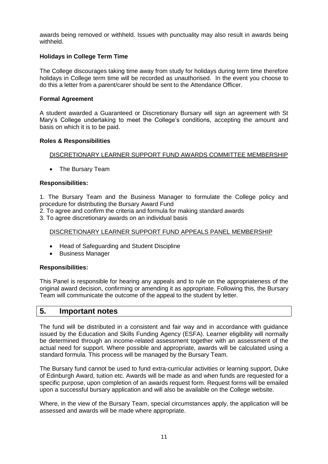awards being removed or withheld. Issues with punctuality may also result in awards being withheld.

#### **Holidays in College Term Time**

The College discourages taking time away from study for holidays during term time therefore holidays in College term time will be recorded as unauthorised. In the event you choose to do this a letter from a parent/carer should be sent to the Attendance Officer.

#### **Formal Agreement**

A student awarded a Guaranteed or Discretionary Bursary will sign an agreement with St Mary's College undertaking to meet the College's conditions, accepting the amount and basis on which it is to be paid.

#### **Roles & Responsibilities**

#### DISCRETIONARY LEARNER SUPPORT FUND AWARDS COMMITTEE MEMBERSHIP

• The Bursary Team

#### **Responsibilities:**

1. The Bursary Team and the Business Manager to formulate the College policy and procedure for distributing the Bursary Award Fund

2. To agree and confirm the criteria and formula for making standard awards

3. To agree discretionary awards on an individual basis

#### DISCRETIONARY LEARNER SUPPORT FUND APPEALS PANEL MEMBERSHIP

- Head of Safeguarding and Student Discipline
- Business Manager

#### **Responsibilities:**

This Panel is responsible for hearing any appeals and to rule on the appropriateness of the original award decision, confirming or amending it as appropriate. Following this, the Bursary Team will communicate the outcome of the appeal to the student by letter.

## **5. Important notes**

The fund will be distributed in a consistent and fair way and in accordance with guidance issued by the Education and Skills Funding Agency (ESFA). Learner eligibility will normally be determined through an income-related assessment together with an assessment of the actual need for support. Where possible and appropriate, awards will be calculated using a standard formula. This process will be managed by the Bursary Team.

The Bursary fund cannot be used to fund extra-curricular activities or learning support, Duke of Edinburgh Award, tuition etc. Awards will be made as and when funds are requested for a specific purpose, upon completion of an awards request form. Request forms will be emailed upon a successful bursary application and will also be available on the College website.

Where, in the view of the Bursary Team, special circumstances apply, the application will be assessed and awards will be made where appropriate.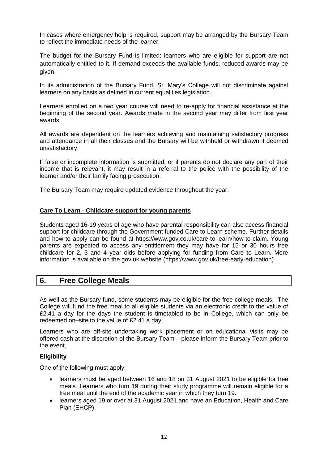In cases where emergency help is required, support may be arranged by the Bursary Team to reflect the immediate needs of the learner.

The budget for the Bursary Fund is limited: learners who are eligible for support are not automatically entitled to it. If demand exceeds the available funds, reduced awards may be given.

In its administration of the Bursary Fund, St. Mary's College will not discriminate against learners on any basis as defined in current equalities legislation.

Learners enrolled on a two year course will need to re-apply for financial assistance at the beginning of the second year. Awards made in the second year may differ from first year awards.

All awards are dependent on the learners achieving and maintaining satisfactory progress and attendance in all their classes and the Bursary will be withheld or withdrawn if deemed unsatisfactory.

If false or incomplete information is submitted, or if parents do not declare any part of their income that is relevant, it may result in a referral to the police with the possibility of the learner and/or their family facing prosecution.

The Bursary Team may require updated evidence throughout the year.

#### **Care To Learn - Childcare support for young parents**

Students aged 16-19 years of age who have parental responsibility can also access financial support for childcare through the Government funded Care to Learn scheme. Further details and how to apply can be found at https://www.gov.co.uk/care-to-learn/how-to-claim. Young parents are expected to access any entitlement they may have for 15 or 30 hours free childcare for 2, 3 and 4 year olds before applying for funding from Care to Learn. More information is available on the gov.uk website (https://www.gov.uk/free-early-education)

### **6. Free College Meals**

As well as the Bursary fund, some students may be eligible for the free college meals. The College will fund the free meal to all eligible students via an electronic credit to the value of £2.41 a day for the days the student is timetabled to be in College, which can only be redeemed on–site to the value of £2.41 a day.

Learners who are off-site undertaking work placement or on educational visits may be offered cash at the discretion of the Bursary Team – please inform the Bursary Team prior to the event.

#### **Eligibility**

One of the following must apply:

- learners must be aged between 16 and 18 on 31 August 2021 to be eligible for free meals. Learners who turn 19 during their study programme will remain eligible for a free meal until the end of the academic year in which they turn 19.
- learners aged 19 or over at 31 August 2021 and have an Education, Health and Care Plan (EHCP).